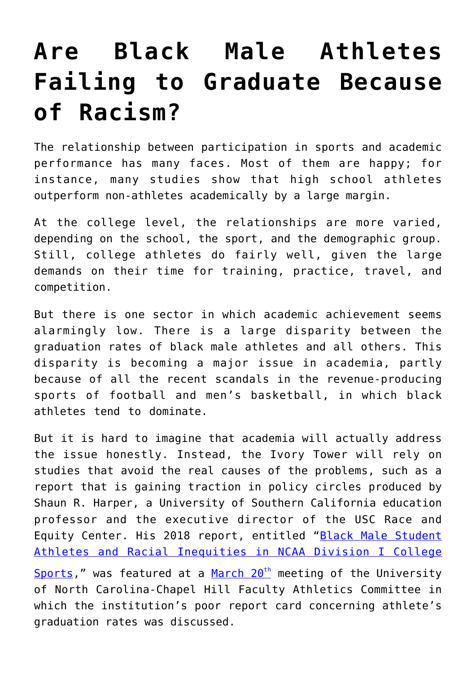## **[Are Black Male Athletes](https://intellectualtakeout.org/2018/04/are-black-male-athletes-failing-to-graduate-because-of-racism/) [Failing to Graduate Because](https://intellectualtakeout.org/2018/04/are-black-male-athletes-failing-to-graduate-because-of-racism/) [of Racism?](https://intellectualtakeout.org/2018/04/are-black-male-athletes-failing-to-graduate-because-of-racism/)**

The relationship between participation in sports and academic performance has many faces. Most of them are happy; for instance, many studies show that high school athletes outperform non-athletes academically by a large margin.

At the college level, the relationships are more varied, depending on the school, the sport, and the demographic group. Still, college athletes do fairly well, given the large demands on their time for training, practice, travel, and competition.

But there is one sector in which academic achievement seems alarmingly low. There is a large disparity between the graduation rates of black male athletes and all others. This disparity is becoming a major issue in academia, partly because of all the recent scandals in the revenue-producing sports of football and men's basketball, in which black athletes tend to dominate.

But it is hard to imagine that academia will actually address the issue honestly. Instead, the Ivory Tower will rely on studies that avoid the real causes of the problems, such as a report that is gaining traction in policy circles produced by Shaun R. Harper, a University of Southern California education professor and the executive director of the USC Race and Equity Center. His 2018 report, entitled "[Black Male Student](https://race.usc.edu/wp-content/uploads/2018/03/2018_Sports_Report.pdf) [Athletes and Racial Inequities in NCAA Division I College](https://race.usc.edu/wp-content/uploads/2018/03/2018_Sports_Report.pdf)

[Sports,](https://race.usc.edu/wp-content/uploads/2018/03/2018_Sports_Report.pdf)" was featured at a March  $20<sup>th</sup>$  $20<sup>th</sup>$  $20<sup>th</sup>$  meeting of the University of North Carolina-Chapel Hill Faculty Athletics Committee in which the institution's poor report card concerning athlete's graduation rates was discussed.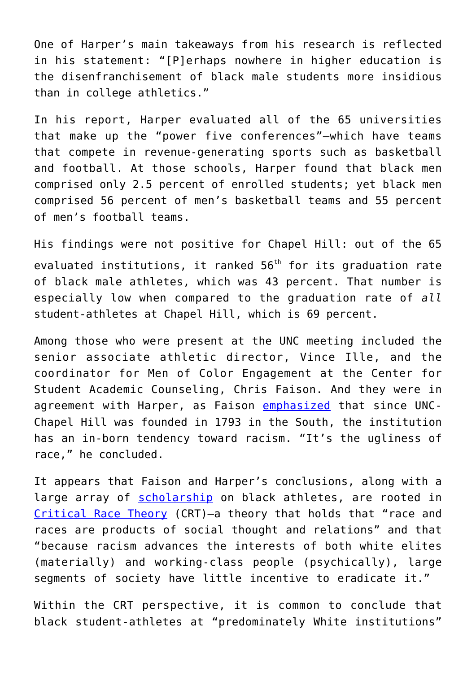One of Harper's main takeaways from his research is reflected in his statement: "[P]erhaps nowhere in higher education is the disenfranchisement of black male students more insidious than in college athletics."

In his report, Harper evaluated all of the 65 universities that make up the "power five conferences"—which have teams that compete in revenue-generating sports such as basketball and football. At those schools, Harper found that black men comprised only 2.5 percent of enrolled students; yet black men comprised 56 percent of men's basketball teams and 55 percent of men's football teams.

His findings were not positive for Chapel Hill: out of the 65 evaluated institutions, it ranked 56<sup>th</sup> for its graduation rate of black male athletes, which was 43 percent. That number is especially low when compared to the graduation rate of *all* student-athletes at Chapel Hill, which is 69 percent.

Among those who were present at the UNC meeting included the senior associate athletic director, Vince Ille, and the coordinator for Men of Color Engagement at the Center for Student Academic Counseling, Chris Faison. And they were in agreement with Harper, as Faison [emphasized](http://www.newsobserver.com/sports/college/article207029314.html) that since UNC-Chapel Hill was founded in 1793 in the South, the institution has an in-born tendency toward racism. "It's the ugliness of race," he concluded.

It appears that Faison and Harper's conclusions, along with a large array of [scholarship](http://journals.sagepub.com/doi/abs/10.1177/0095798412454676) on black athletes, are rooted in [Critical Race Theory](https://uniteyouthdublin.files.wordpress.com/2015/01/richard_delgado_jean_stefancic_critical_race_thbookfi-org-1.pdf) (CRT)—a theory that holds that "race and races are products of social thought and relations" and that "because racism advances the interests of both white elites (materially) and working-class people (psychically), large segments of society have little incentive to eradicate it."

Within the CRT perspective, it is common to conclude that black student-athletes at "predominately White institutions"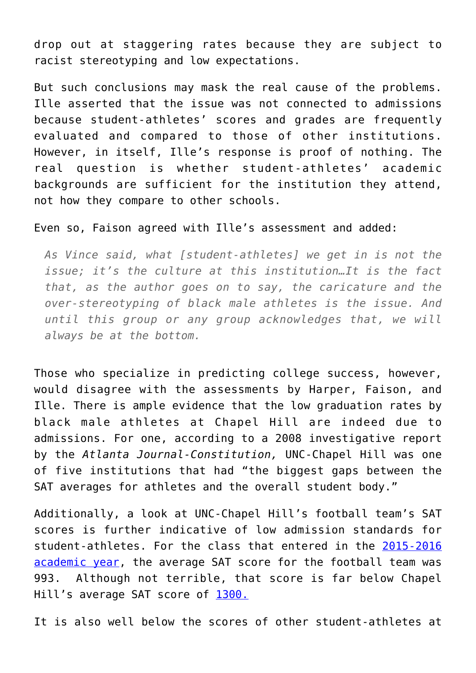drop out at staggering rates because they are subject to racist stereotyping and low expectations.

But such conclusions may mask the real cause of the problems. Ille asserted that the issue was not connected to admissions because student-athletes' scores and grades are frequently evaluated and compared to those of other institutions. However, in itself, Ille's response is proof of nothing. The real question is whether student-athletes' academic backgrounds are sufficient for the institution they attend, not how they compare to other schools.

## Even so, Faison agreed with Ille's assessment and added:

*As Vince said, what [student-athletes] we get in is not the issue; it's the culture at this institution…It is the fact that, as the author goes on to say, the caricature and the over-stereotyping of black male athletes is the issue. And until this group or any group acknowledges that, we will always be at the bottom.*

Those who specialize in predicting college success, however, would disagree with the assessments by Harper, Faison, and Ille. There is ample evidence that the low graduation rates by black male athletes at Chapel Hill are indeed due to admissions. For one, according to a 2008 investigative report by the *Atlanta Journal-Constitution,* UNC-Chapel Hill was one of five institutions that had "the biggest gaps between the SAT averages for athletes and the overall student body."

Additionally, a look at UNC-Chapel Hill's football team's SAT scores is further indicative of low admission standards for student-athletes. For the class that entered in the [2015-2016](https://www.northcarolina.edu/sites/default/files/documents/intercollegiate_athletics_report_2015-2016.pdf) [academic year](https://www.northcarolina.edu/sites/default/files/documents/intercollegiate_athletics_report_2015-2016.pdf), the average SAT score for the football team was 993. Although not terrible, that score is far below Chapel Hill's average SAT score of [1300.](https://www.collegedata.com/cs/data/college/college_pg02_tmpl.jhtml?schoolId=1600)

It is also well below the scores of other student-athletes at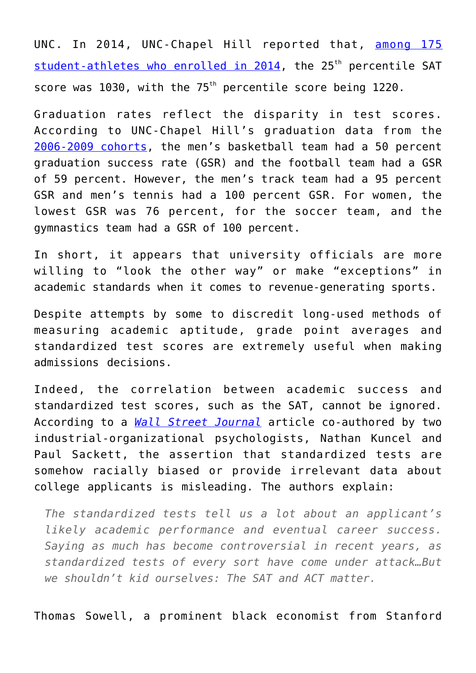UNC. In 2014, UNC-Chapel Hill reported that, [among 175](https://carolinacommitment.unc.edu/files/2015/10/Enrolling-Student-Athletes-Class-Entering-2014.pdf) [student-athletes who enrolled in 2014](https://carolinacommitment.unc.edu/files/2015/10/Enrolling-Student-Athletes-Class-Entering-2014.pdf), the 25<sup>th</sup> percentile SAT score was  $1030$ , with the  $75<sup>th</sup>$  percentile score being  $1220$ .

Graduation rates reflect the disparity in test scores. According to UNC-Chapel Hill's graduation data from the [2006-2009 cohorts](https://www.northcarolina.edu/sites/default/files/documents/intercollegiate_athletics_report_2015-2016.pdf), the men's basketball team had a 50 percent graduation success rate (GSR) and the football team had a GSR of 59 percent. However, the men's track team had a 95 percent GSR and men's tennis had a 100 percent GSR. For women, the lowest GSR was 76 percent, for the soccer team, and the gymnastics team had a GSR of 100 percent.

In short, it appears that university officials are more willing to "look the other way" or make "exceptions" in academic standards when it comes to revenue-generating sports.

Despite attempts by some to discredit long-used methods of measuring academic aptitude, grade point averages and standardized test scores are extremely useful when making admissions decisions.

Indeed, the correlation between academic success and standardized test scores, such as the SAT, cannot be ignored. According to a *[Wall Street Journal](https://www.wsj.com/articles/the-truth-about-the-sat-and-act-1520521861)* article co-authored by two industrial-organizational psychologists, Nathan Kuncel and Paul Sackett, the assertion that standardized tests are somehow racially biased or provide irrelevant data about college applicants is misleading. The authors explain:

*The standardized tests tell us a lot about an applicant's likely academic performance and eventual career success. Saying as much has become controversial in recent years, as standardized tests of every sort have come under attack…But we shouldn't kid ourselves: The SAT and ACT matter.*

Thomas Sowell, a prominent black economist from Stanford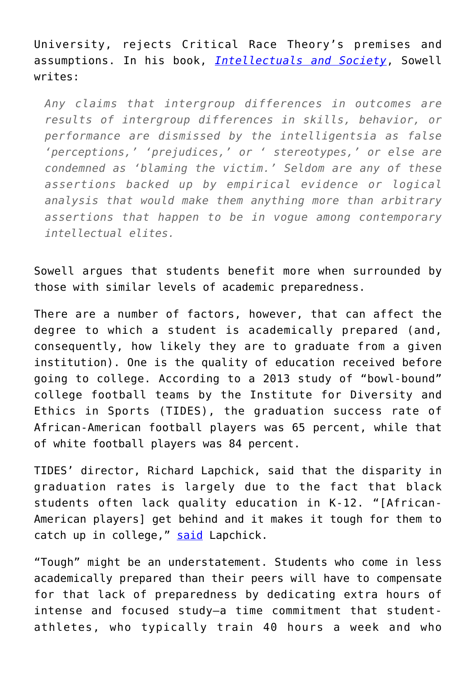University, rejects Critical Race Theory's premises and assumptions. In his book, *[Intellectuals and Society](https://www.amazon.com/Intellectuals-Society-Expanded-Thomas-Sowell/dp/0465025226)*, Sowell writes:

*Any claims that intergroup differences in outcomes are results of intergroup differences in skills, behavior, or performance are dismissed by the intelligentsia as false 'perceptions,' 'prejudices,' or ' stereotypes,' or else are condemned as 'blaming the victim.' Seldom are any of these assertions backed up by empirical evidence or logical analysis that would make them anything more than arbitrary assertions that happen to be in vogue among contemporary intellectual elites.*

Sowell argues that students benefit more when surrounded by those with similar levels of academic preparedness.

There are a number of factors, however, that can affect the degree to which a student is academically prepared (and, consequently, how likely they are to graduate from a given institution). One is the quality of education received before going to college. According to a 2013 study of "bowl-bound" college football teams by the Institute for Diversity and Ethics in Sports (TIDES), the graduation success rate of African-American football players was 65 percent, while that of white football players was 84 percent.

TIDES' director, Richard Lapchick, said that the disparity in graduation rates is largely due to the fact that black students often lack quality education in K-12. "[African-American players] get behind and it makes it tough for them to catch up in college," [said](http://diverseeducation.com/article/58022/) Lapchick.

"Tough" might be an understatement. Students who come in less academically prepared than their peers will have to compensate for that lack of preparedness by dedicating extra hours of intense and focused study—a time commitment that studentathletes, who typically train 40 hours a week and who